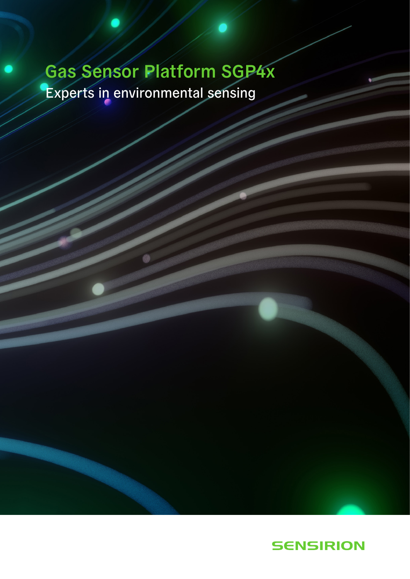# Gas Sensor Platform SGP4x Experts in environmental sensing

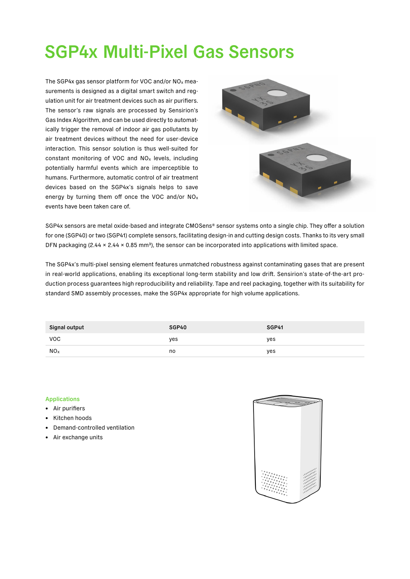## SGP4x Multi-Pixel Gas Sensors

The SGP4x gas sensor platform for VOC and/or NOx measurements is designed as a digital smart switch and regulation unit for air treatment devices such as air purifiers. The sensor's raw signals are processed by Sensirion's Gas Index Algorithm, and can be used directly to automatically trigger the removal of indoor air gas pollutants by air treatment devices without the need for user-device interaction. This sensor solution is thus well-suited for constant monitoring of VOC and NOx levels, including potentially harmful events which are imperceptible to humans. Furthermore, automatic control of air treatment devices based on the SGP4x's signals helps to save energy by turning them off once the VOC and/or NOx events have been taken care of.



SGP4x sensors are metal oxide-based and integrate CMOSens® sensor systems onto a single chip. They offer a solution for one (SGP40) or two (SGP41) complete sensors, facilitating design-in and cutting design costs. Thanks to its very small DFN packaging (2.44  $\times$  2.44  $\times$  0.85 mm<sup>3</sup>), the sensor can be incorporated into applications with limited space.

The SGP4x's multi-pixel sensing element features unmatched robustness against contaminating gases that are present in real-world applications, enabling its exceptional long-term stability and low drift. Sensirion's state-of-the-art production process guarantees high reproducibility and reliability. Tape and reel packaging, together with its suitability for standard SMD assembly processes, make the SGP4x appropriate for high volume applications.

| Signal output   | SGP40 | SGP41 |
|-----------------|-------|-------|
| <b>VOC</b>      | yes   | yes   |
| NO <sub>x</sub> | no    | yes   |

#### Applications

- Air purifiers
- Kitchen hoods
- Demand-controlled ventilation
- Air exchange units

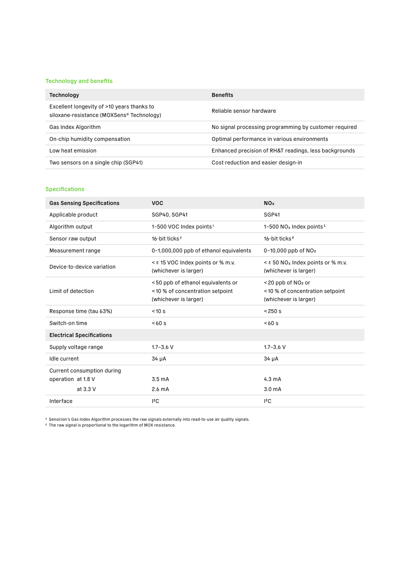### Technology and benefits

| Technology                                                                              | <b>Benefits</b>                                       |
|-----------------------------------------------------------------------------------------|-------------------------------------------------------|
| Excellent longevity of >10 years thanks to<br>siloxane-resistance (MOXSens® Technology) | Reliable sensor hardware                              |
| Gas Index Algorithm                                                                     | No signal processing programming by customer required |
| On-chip humidity compensation                                                           | Optimal performance in various environments           |
| Low heat emission                                                                       | Enhanced precision of RH&T readings, less backgrounds |
| Two sensors on a single chip (SGP41)                                                    | Cost reduction and easier design-in                   |

### Specifications

| <b>Gas Sensing Specifications</b> | <b>VOC</b>                                                                                    | <b>NO</b> <sub>x</sub>                                                                       |
|-----------------------------------|-----------------------------------------------------------------------------------------------|----------------------------------------------------------------------------------------------|
| Applicable product                | SGP40, SGP41                                                                                  | SGP41                                                                                        |
| Algorithm output                  | 1-500 VOC Index points <sup>1</sup>                                                           | 1-500 $NOx$ Index points <sup>1</sup>                                                        |
| Sensor raw output                 | 16-bit ticks <sup>2</sup>                                                                     | 16-bit ticks <sup>2</sup>                                                                    |
| Measurement range                 | 0-1,000,000 ppb of ethanol equivalents                                                        | $0-10,000$ ppb of $NO2$                                                                      |
| Device-to-device variation        | < ± 15 VOC Index points or % m.v.<br>(whichever is larger)                                    | $\leq$ ± 50 NO <sub>x</sub> Index points or % m.v.<br>(whichever is larger)                  |
| Limit of detection                | <50 ppb of ethanol equivalents or<br><10 % of concentration setpoint<br>(whichever is larger) | $<$ 20 ppb of NO <sub>2</sub> or<br><10 % of concentration setpoint<br>(whichever is larger) |
| Response time (tau 63%)           | < 10 s                                                                                        | < 250 s                                                                                      |
| Switch-on time                    | <60s                                                                                          | < 60 s                                                                                       |
| <b>Electrical Specifications</b>  |                                                                                               |                                                                                              |
| Supply voltage range              | $1.7 - 3.6$ V                                                                                 | $1.7 - 3.6$ V                                                                                |
| Idle current                      | 34 µA                                                                                         | $34 \mu A$                                                                                   |
| Current consumption during        |                                                                                               |                                                                                              |
| operation at 1.8 V                | 3.5 <sub>m</sub> A                                                                            | $4.3 \text{ mA}$                                                                             |
| at 3.3 V                          | 2.6 <sub>m</sub> A                                                                            | 3.0 <sub>m</sub> A                                                                           |
| Interface                         | 12C                                                                                           | $1^2C$                                                                                       |

1 Sensirion's Gas Index Algorithm processes the raw signals externally into read-to-use air quality signals. 2 The raw signal is proportional to the logarithm of MOX resistance.